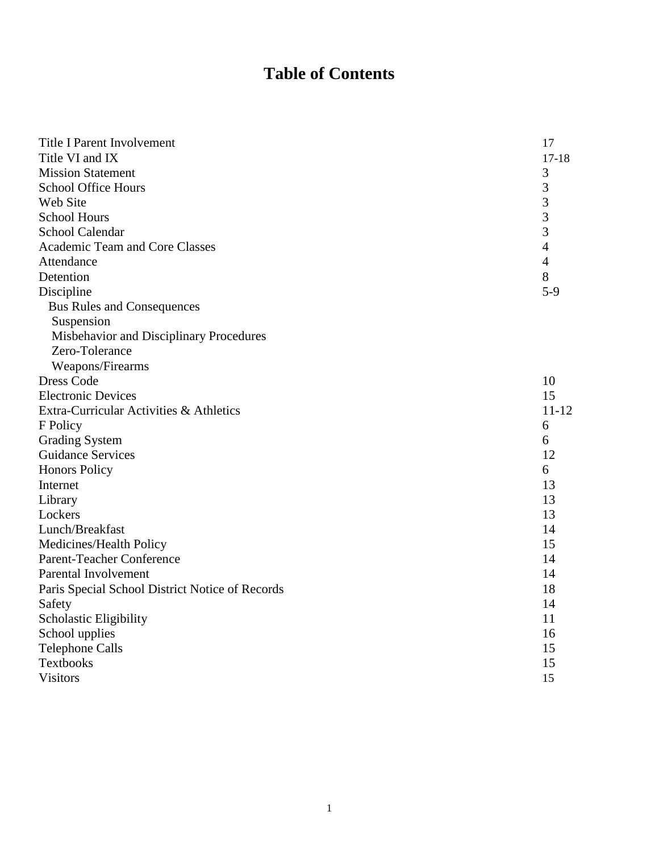# **Table of Contents**

| <b>Title I Parent Involvement</b>               | 17             |
|-------------------------------------------------|----------------|
| Title VI and IX                                 | $17 - 18$      |
| <b>Mission Statement</b>                        | 3              |
| <b>School Office Hours</b>                      | 3              |
| Web Site                                        | 3              |
| <b>School Hours</b>                             | 3              |
| <b>School Calendar</b>                          | 3              |
| Academic Team and Core Classes                  | $\overline{4}$ |
| Attendance                                      | $\overline{4}$ |
| Detention                                       | 8              |
| Discipline                                      | $5-9$          |
| <b>Bus Rules and Consequences</b>               |                |
| Suspension                                      |                |
| Misbehavior and Disciplinary Procedures         |                |
| Zero-Tolerance                                  |                |
| Weapons/Firearms                                |                |
| <b>Dress Code</b>                               | 10             |
| <b>Electronic Devices</b>                       | 15             |
| Extra-Curricular Activities & Athletics         | $11 - 12$      |
| F Policy                                        | 6              |
| <b>Grading System</b>                           | 6              |
| <b>Guidance Services</b>                        | 12             |
| <b>Honors Policy</b>                            | 6              |
| Internet                                        | 13             |
| Library                                         | 13             |
| Lockers                                         | 13             |
| Lunch/Breakfast                                 | 14             |
| Medicines/Health Policy                         | 15             |
| <b>Parent-Teacher Conference</b>                | 14             |
| Parental Involvement                            | 14             |
| Paris Special School District Notice of Records | 18             |
| Safety                                          | 14             |
| Scholastic Eligibility                          | 11             |
| School upplies                                  | 16             |
| <b>Telephone Calls</b>                          | 15             |
| <b>Textbooks</b>                                | 15             |
| <b>Visitors</b>                                 | 15             |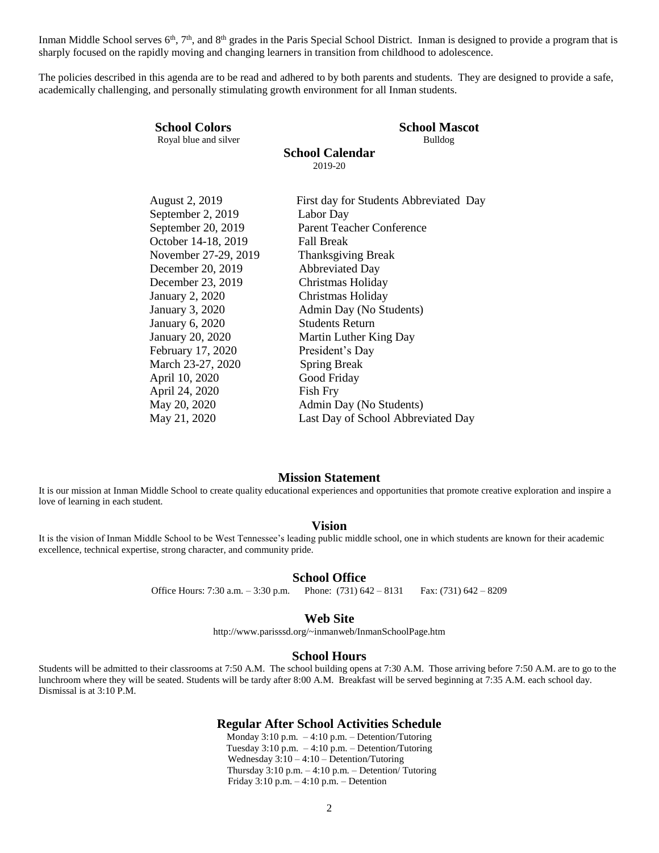Inman Middle School serves 6<sup>th</sup>, 7<sup>th</sup>, and 8<sup>th</sup> grades in the Paris Special School District. Inman is designed to provide a program that is sharply focused on the rapidly moving and changing learners in transition from childhood to adolescence.

The policies described in this agenda are to be read and adhered to by both parents and students. They are designed to provide a safe, academically challenging, and personally stimulating growth environment for all Inman students.

| <b>School Calendar</b><br>2019-20                                                                                                                                                                                                                                                                                                                                                                                                                                                                                                                                                                                                        |  |
|------------------------------------------------------------------------------------------------------------------------------------------------------------------------------------------------------------------------------------------------------------------------------------------------------------------------------------------------------------------------------------------------------------------------------------------------------------------------------------------------------------------------------------------------------------------------------------------------------------------------------------------|--|
|                                                                                                                                                                                                                                                                                                                                                                                                                                                                                                                                                                                                                                          |  |
| August 2, 2019<br>First day for Students Abbreviated Day<br>September 2, 2019<br>Labor Day<br>September 20, 2019<br><b>Parent Teacher Conference</b><br>October 14-18, 2019<br><b>Fall Break</b><br>November 27-29, 2019<br><b>Thanksgiving Break</b><br>December 20, 2019<br><b>Abbreviated Day</b><br>December 23, 2019<br>Christmas Holiday<br><b>January 2, 2020</b><br>Christmas Holiday<br><b>January 3, 2020</b><br>Admin Day (No Students)<br><b>Students Return</b><br>January 6, 2020<br><b>January 20, 2020</b><br>Martin Luther King Day<br>President's Day<br>February 17, 2020<br>March 23-27, 2020<br><b>Spring Break</b> |  |
| April 10, 2020<br>Good Friday                                                                                                                                                                                                                                                                                                                                                                                                                                                                                                                                                                                                            |  |
| April 24, 2020<br>Fish Fry<br>May 20, 2020<br>Admin Day (No Students)<br>May 21, 2020<br>Last Day of School Abbreviated Day                                                                                                                                                                                                                                                                                                                                                                                                                                                                                                              |  |

#### **Mission Statement**

It is our mission at Inman Middle School to create quality educational experiences and opportunities that promote creative exploration and inspire a love of learning in each student.

#### **Vision**

It is the vision of Inman Middle School to be West Tennessee's leading public middle school, one in which students are known for their academic excellence, technical expertise, strong character, and community pride.

#### **School Office**

Office Hours: 7:30 a.m. – 3:30 p.m. Phone: (731) 642 – 8131 Fax: (731) 642 – 8209

#### **Web Site**

http://www.parisssd.org/~inmanweb/InmanSchoolPage.htm

#### **School Hours**

Students will be admitted to their classrooms at 7:50 A.M. The school building opens at 7:30 A.M. Those arriving before 7:50 A.M. are to go to the lunchroom where they will be seated. Students will be tardy after 8:00 A.M. Breakfast will be served beginning at 7:35 A.M. each school day. Dismissal is at 3:10 P.M.

#### **Regular After School Activities Schedule**

Monday 3:10 p.m. – 4:10 p.m. – Detention/Tutoring Tuesday 3:10 p.m. – 4:10 p.m. – Detention/Tutoring Wednesday 3:10 – 4:10 – Detention/Tutoring Thursday  $3:10$  p.m.  $-4:10$  p.m.  $-$  Detention/ Tutoring Friday 3:10 p.m. – 4:10 p.m. – Detention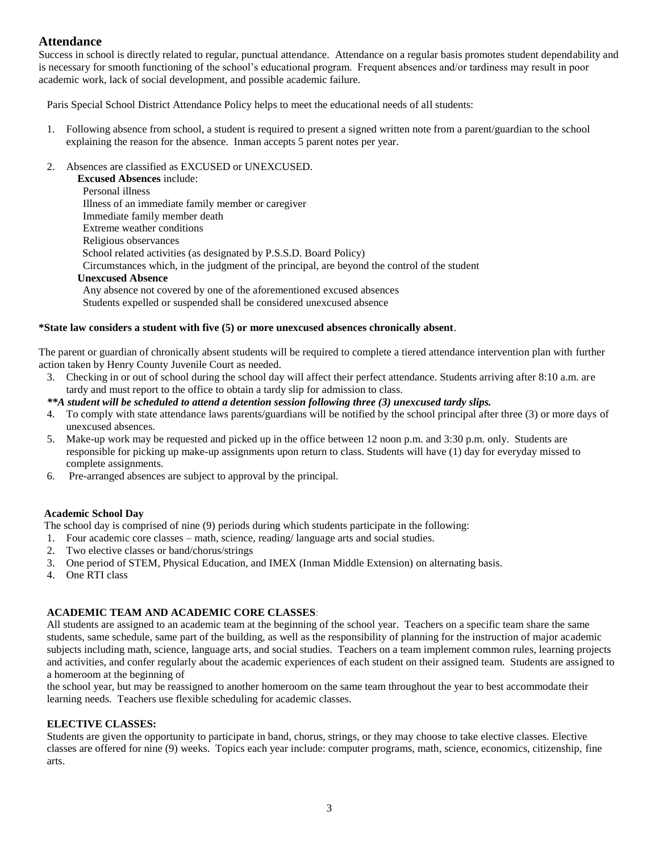# **Attendance**

Success in school is directly related to regular, punctual attendance. Attendance on a regular basis promotes student dependability and is necessary for smooth functioning of the school's educational program. Frequent absences and/or tardiness may result in poor academic work, lack of social development, and possible academic failure.

Paris Special School District Attendance Policy helps to meet the educational needs of all students:

- 1. Following absence from school, a student is required to present a signed written note from a parent/guardian to the school explaining the reason for the absence. Inman accepts 5 parent notes per year.
- 2. Absences are classified as EXCUSED or UNEXCUSED.

**Excused Absences** include: Personal illness Illness of an immediate family member or caregiver Immediate family member death Extreme weather conditions Religious observances School related activities (as designated by P.S.S.D. Board Policy) Circumstances which, in the judgment of the principal, are beyond the control of the student **Unexcused Absence** Any absence not covered by one of the aforementioned excused absences Students expelled or suspended shall be considered unexcused absence

### **\*State law considers a student with five (5) or more unexcused absences chronically absent**.

The parent or guardian of chronically absent students will be required to complete a tiered attendance intervention plan with further action taken by Henry County Juvenile Court as needed.

3. Checking in or out of school during the school day will affect their perfect attendance. Students arriving after 8:10 a.m. are tardy and must report to the office to obtain a tardy slip for admission to class.

#### *\*\*A student will be scheduled to attend a detention session following three (3) unexcused tardy slips.*

- 4. To comply with state attendance laws parents/guardians will be notified by the school principal after three (3) or more days of unexcused absences.
- 5. Make-up work may be requested and picked up in the office between 12 noon p.m. and 3:30 p.m. only. Students are responsible for picking up make-up assignments upon return to class. Students will have (1) day for everyday missed to complete assignments.
- 6. Pre-arranged absences are subject to approval by the principal.

#### **Academic School Day**

The school day is comprised of nine (9) periods during which students participate in the following:

- 1. Four academic core classes math, science, reading/ language arts and social studies.
- 2. Two elective classes or band/chorus/strings
- 3. One period of STEM, Physical Education, and IMEX (Inman Middle Extension) on alternating basis.
- 4. One RTI class

# **ACADEMIC TEAM AND ACADEMIC CORE CLASSES**:

All students are assigned to an academic team at the beginning of the school year. Teachers on a specific team share the same students, same schedule, same part of the building, as well as the responsibility of planning for the instruction of major academic subjects including math, science, language arts, and social studies. Teachers on a team implement common rules, learning projects and activities, and confer regularly about the academic experiences of each student on their assigned team. Students are assigned to a homeroom at the beginning of

the school year, but may be reassigned to another homeroom on the same team throughout the year to best accommodate their learning needs. Teachers use flexible scheduling for academic classes.

#### **ELECTIVE CLASSES:**

Students are given the opportunity to participate in band, chorus, strings, or they may choose to take elective classes. Elective classes are offered for nine (9) weeks. Topics each year include: computer programs, math, science, economics, citizenship, fine arts.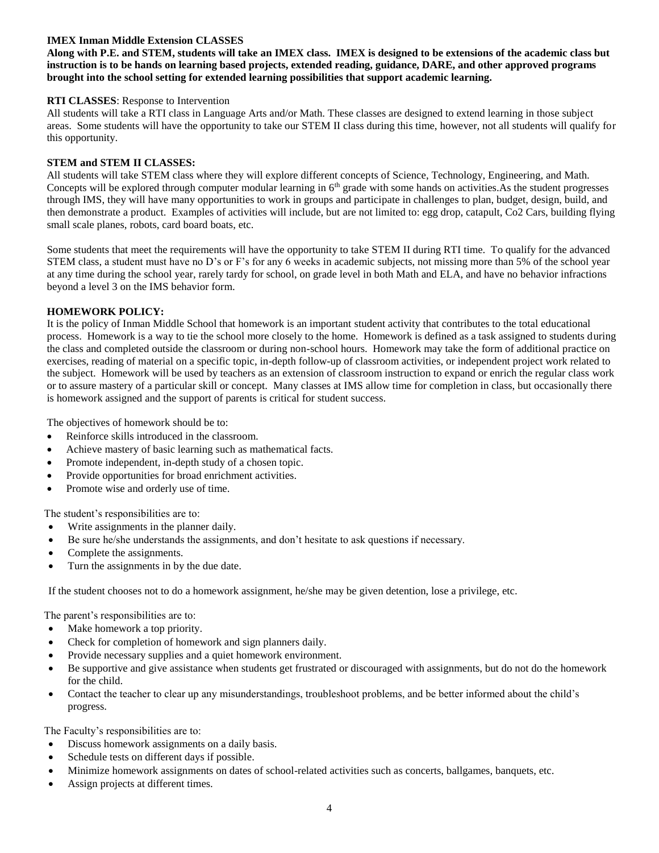# **IMEX Inman Middle Extension CLASSES**

**Along with P.E. and STEM, students will take an IMEX class. IMEX is designed to be extensions of the academic class but instruction is to be hands on learning based projects, extended reading, guidance, DARE, and other approved programs brought into the school setting for extended learning possibilities that support academic learning.**

## **RTI CLASSES**: Response to Intervention

All students will take a RTI class in Language Arts and/or Math. These classes are designed to extend learning in those subject areas. Some students will have the opportunity to take our STEM II class during this time, however, not all students will qualify for this opportunity.

### **STEM and STEM II CLASSES:**

All students will take STEM class where they will explore different concepts of Science, Technology, Engineering, and Math. Concepts will be explored through computer modular learning in 6<sup>th</sup> grade with some hands on activities.As the student progresses through IMS, they will have many opportunities to work in groups and participate in challenges to plan, budget, design, build, and then demonstrate a product. Examples of activities will include, but are not limited to: egg drop, catapult, Co2 Cars, building flying small scale planes, robots, card board boats, etc.

Some students that meet the requirements will have the opportunity to take STEM II during RTI time. To qualify for the advanced STEM class, a student must have no D's or F's for any 6 weeks in academic subjects, not missing more than 5% of the school year at any time during the school year, rarely tardy for school, on grade level in both Math and ELA, and have no behavior infractions beyond a level 3 on the IMS behavior form.

# **HOMEWORK POLICY:**

It is the policy of Inman Middle School that homework is an important student activity that contributes to the total educational process. Homework is a way to tie the school more closely to the home. Homework is defined as a task assigned to students during the class and completed outside the classroom or during non-school hours. Homework may take the form of additional practice on exercises, reading of material on a specific topic, in-depth follow-up of classroom activities, or independent project work related to the subject. Homework will be used by teachers as an extension of classroom instruction to expand or enrich the regular class work or to assure mastery of a particular skill or concept. Many classes at IMS allow time for completion in class, but occasionally there is homework assigned and the support of parents is critical for student success.

The objectives of homework should be to:

- Reinforce skills introduced in the classroom.
- Achieve mastery of basic learning such as mathematical facts.
- Promote independent, in-depth study of a chosen topic.
- Provide opportunities for broad enrichment activities.
- Promote wise and orderly use of time.

The student's responsibilities are to:

- Write assignments in the planner daily.
- Be sure he/she understands the assignments, and don't hesitate to ask questions if necessary.
- Complete the assignments.
- Turn the assignments in by the due date.

If the student chooses not to do a homework assignment, he/she may be given detention, lose a privilege, etc.

The parent's responsibilities are to:

- Make homework a top priority.
- Check for completion of homework and sign planners daily.
- Provide necessary supplies and a quiet homework environment.
- Be supportive and give assistance when students get frustrated or discouraged with assignments, but do not do the homework for the child.
- Contact the teacher to clear up any misunderstandings, troubleshoot problems, and be better informed about the child's progress.

The Faculty's responsibilities are to:

- Discuss homework assignments on a daily basis.
- Schedule tests on different days if possible.
- Minimize homework assignments on dates of school-related activities such as concerts, ballgames, banquets, etc.
- Assign projects at different times.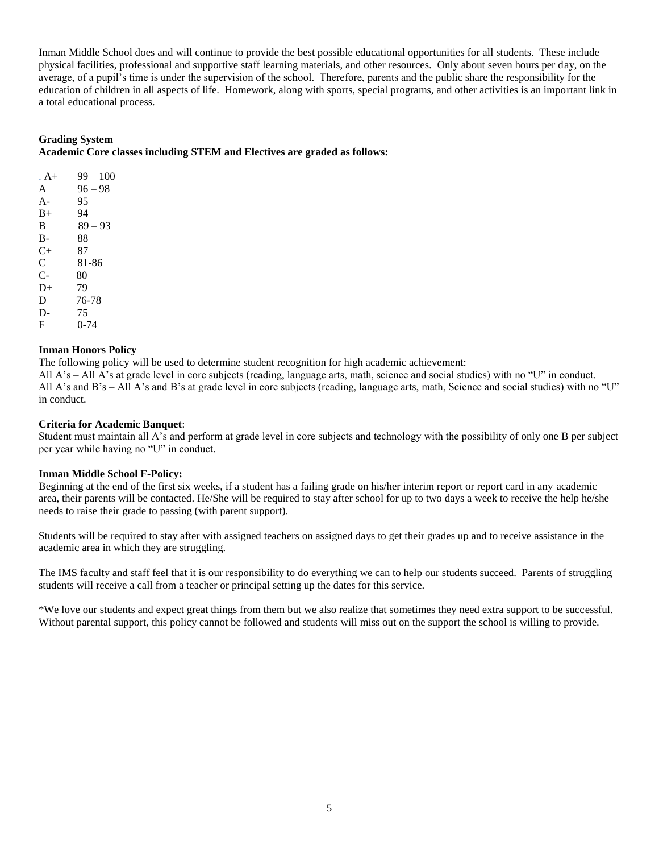Inman Middle School does and will continue to provide the best possible educational opportunities for all students. These include physical facilities, professional and supportive staff learning materials, and other resources. Only about seven hours per day, on the average, of a pupil's time is under the supervision of the school. Therefore, parents and the public share the responsibility for the education of children in all aspects of life. Homework, along with sports, special programs, and other activities is an important link in a total educational process.

# **Grading System**

**Academic Core classes including STEM and Electives are graded as follows:**

| . A + | $99 - 100$ |
|-------|------------|
| A     | $96 - 98$  |
| $A -$ | 95         |
| $B+$  | 94         |
| B     | $89 - 93$  |
| B-    | 88         |
| $C+$  | 87         |
| C     | 81-86      |
| $C-$  | 80         |
| $D+$  | 79         |
| D     | 76-78      |
| D-    | 75         |
| F     | 0-74       |

# **Inman Honors Policy**

The following policy will be used to determine student recognition for high academic achievement: All A's – All A's at grade level in core subjects (reading, language arts, math, science and social studies) with no "U" in conduct. All A's and B's – All A's and B's at grade level in core subjects (reading, language arts, math, Science and social studies) with no "U" in conduct.

# **Criteria for Academic Banquet**:

Student must maintain all A's and perform at grade level in core subjects and technology with the possibility of only one B per subject per year while having no "U" in conduct.

# **Inman Middle School F-Policy:**

Beginning at the end of the first six weeks, if a student has a failing grade on his/her interim report or report card in any academic area, their parents will be contacted. He/She will be required to stay after school for up to two days a week to receive the help he/she needs to raise their grade to passing (with parent support).

Students will be required to stay after with assigned teachers on assigned days to get their grades up and to receive assistance in the academic area in which they are struggling.

The IMS faculty and staff feel that it is our responsibility to do everything we can to help our students succeed. Parents of struggling students will receive a call from a teacher or principal setting up the dates for this service.

\*We love our students and expect great things from them but we also realize that sometimes they need extra support to be successful. Without parental support, this policy cannot be followed and students will miss out on the support the school is willing to provide.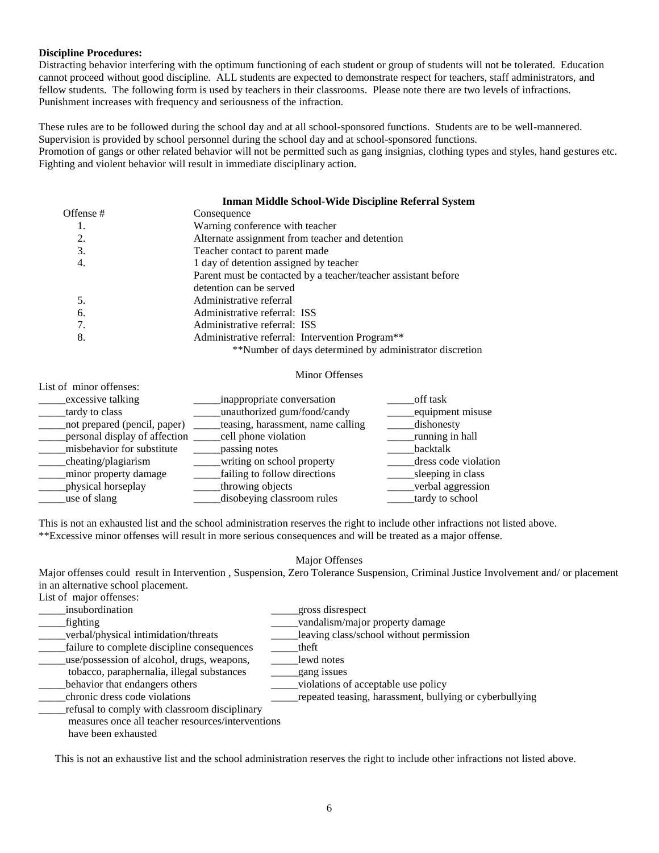## **Discipline Procedures:**

Distracting behavior interfering with the optimum functioning of each student or group of students will not be tolerated. Education cannot proceed without good discipline. ALL students are expected to demonstrate respect for teachers, staff administrators, and fellow students. The following form is used by teachers in their classrooms. Please note there are two levels of infractions. Punishment increases with frequency and seriousness of the infraction.

These rules are to be followed during the school day and at all school-sponsored functions. Students are to be well-mannered. Supervision is provided by school personnel during the school day and at school-sponsored functions. Promotion of gangs or other related behavior will not be permitted such as gang insignias, clothing types and styles, hand gestures etc. Fighting and violent behavior will result in immediate disciplinary action.

#### **Inman Middle School-Wide Discipline Referral System**

| Offense # | Consequence                                                    |
|-----------|----------------------------------------------------------------|
| 1.        | Warning conference with teacher                                |
| 2.        | Alternate assignment from teacher and detention                |
| 3.        | Teacher contact to parent made                                 |
| 4.        | 1 day of detention assigned by teacher                         |
|           | Parent must be contacted by a teacher/teacher assistant before |
|           | detention can be served                                        |
| 5.        | Administrative referral                                        |
| 6.        | Administrative referral: ISS                                   |
| 7.        | Administrative referral: ISS                                   |
| 8.        | Administrative referral: Intervention Program <sup>**</sup>    |
|           | **Number of days determined by administrator discretion        |

#### Minor Offenses

List of minor offenses:

| excessive talking<br>tardy to class | inappropriate conversation<br>unauthorized gum/food/candy | off task<br>equipment misuse |
|-------------------------------------|-----------------------------------------------------------|------------------------------|
| not prepared (pencil, paper)        | teasing, harassment, name calling                         | dishonesty                   |
| personal display of affection       | _cell phone violation                                     | running in hall              |
| misbehavior for substitute          | passing notes                                             | backtalk                     |
| cheating/plagiarism                 | writing on school property                                | dress code violation         |
| minor property damage               | failing to follow directions                              | sleeping in class            |
| physical horseplay                  | throwing objects                                          | verbal aggression            |
| use of slang                        | disobeying classroom rules                                | tardy to school              |

This is not an exhausted list and the school administration reserves the right to include other infractions not listed above. \*\*Excessive minor offenses will result in more serious consequences and will be treated as a major offense.

#### Major Offenses

Major offenses could result in Intervention , Suspension, Zero Tolerance Suspension, Criminal Justice Involvement and/ or placement in an alternative school placement.

| List of major offenses: |  |
|-------------------------|--|
|-------------------------|--|

| insubordination                                   | gross disrespect                                        |
|---------------------------------------------------|---------------------------------------------------------|
| fighting                                          | vandalism/major property damage                         |
| verbal/physical intimidation/threats              | leaving class/school without permission                 |
| failure to complete discipline consequences       | theft                                                   |
| use/possession of alcohol, drugs, weapons,        | lewd notes                                              |
| tobacco, paraphernalia, illegal substances        | gang issues                                             |
| behavior that endangers others                    | violations of acceptable use policy                     |
| chronic dress code violations                     | repeated teasing, harassment, bullying or cyberbullying |
| refusal to comply with classroom disciplinary     |                                                         |
| measures once all teacher resources/interventions |                                                         |
| have been exhausted                               |                                                         |

This is not an exhaustive list and the school administration reserves the right to include other infractions not listed above.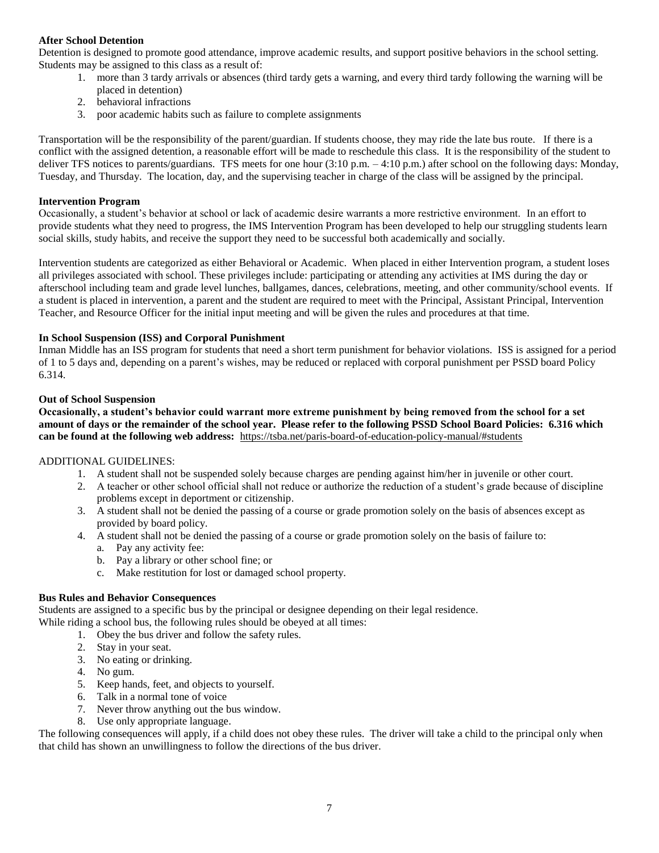# **After School Detention**

Detention is designed to promote good attendance, improve academic results, and support positive behaviors in the school setting. Students may be assigned to this class as a result of:

- 1. more than 3 tardy arrivals or absences (third tardy gets a warning, and every third tardy following the warning will be placed in detention)
- 2. behavioral infractions
- 3. poor academic habits such as failure to complete assignments

Transportation will be the responsibility of the parent/guardian. If students choose, they may ride the late bus route. If there is a conflict with the assigned detention, a reasonable effort will be made to reschedule this class. It is the responsibility of the student to deliver TFS notices to parents/guardians. TFS meets for one hour (3:10 p.m. – 4:10 p.m.) after school on the following days: Monday, Tuesday, and Thursday. The location, day, and the supervising teacher in charge of the class will be assigned by the principal.

### **Intervention Program**

Occasionally, a student's behavior at school or lack of academic desire warrants a more restrictive environment. In an effort to provide students what they need to progress, the IMS Intervention Program has been developed to help our struggling students learn social skills, study habits, and receive the support they need to be successful both academically and socially.

Intervention students are categorized as either Behavioral or Academic. When placed in either Intervention program, a student loses all privileges associated with school. These privileges include: participating or attending any activities at IMS during the day or afterschool including team and grade level lunches, ballgames, dances, celebrations, meeting, and other community/school events. If a student is placed in intervention, a parent and the student are required to meet with the Principal, Assistant Principal, Intervention Teacher, and Resource Officer for the initial input meeting and will be given the rules and procedures at that time.

### **In School Suspension (ISS) and Corporal Punishment**

Inman Middle has an ISS program for students that need a short term punishment for behavior violations. ISS is assigned for a period of 1 to 5 days and, depending on a parent's wishes, may be reduced or replaced with corporal punishment per PSSD board Policy 6.314.

### **Out of School Suspension**

**Occasionally, a student's behavior could warrant more extreme punishment by being removed from the school for a set amount of days or the remainder of the school year. Please refer to the following PSSD School Board Policies: 6.316 which can be found at the following web address:** <https://tsba.net/paris-board-of-education-policy-manual/#students>

# ADDITIONAL GUIDELINES:

- 1. A student shall not be suspended solely because charges are pending against him/her in juvenile or other court.
- 2. A teacher or other school official shall not reduce or authorize the reduction of a student's grade because of discipline problems except in deportment or citizenship.
- 3. A student shall not be denied the passing of a course or grade promotion solely on the basis of absences except as provided by board policy.
- 4. A student shall not be denied the passing of a course or grade promotion solely on the basis of failure to:
	- a. Pay any activity fee:
	- b. Pay a library or other school fine; or
	- c. Make restitution for lost or damaged school property.

#### **Bus Rules and Behavior Consequences**

Students are assigned to a specific bus by the principal or designee depending on their legal residence. While riding a school bus, the following rules should be obeyed at all times:

- 1. Obey the bus driver and follow the safety rules.
- 2. Stay in your seat.
- 3. No eating or drinking.
- 4. No gum.
- 5. Keep hands, feet, and objects to yourself.
- 6. Talk in a normal tone of voice
- 7. Never throw anything out the bus window.
- 8. Use only appropriate language.

The following consequences will apply, if a child does not obey these rules. The driver will take a child to the principal only when that child has shown an unwillingness to follow the directions of the bus driver.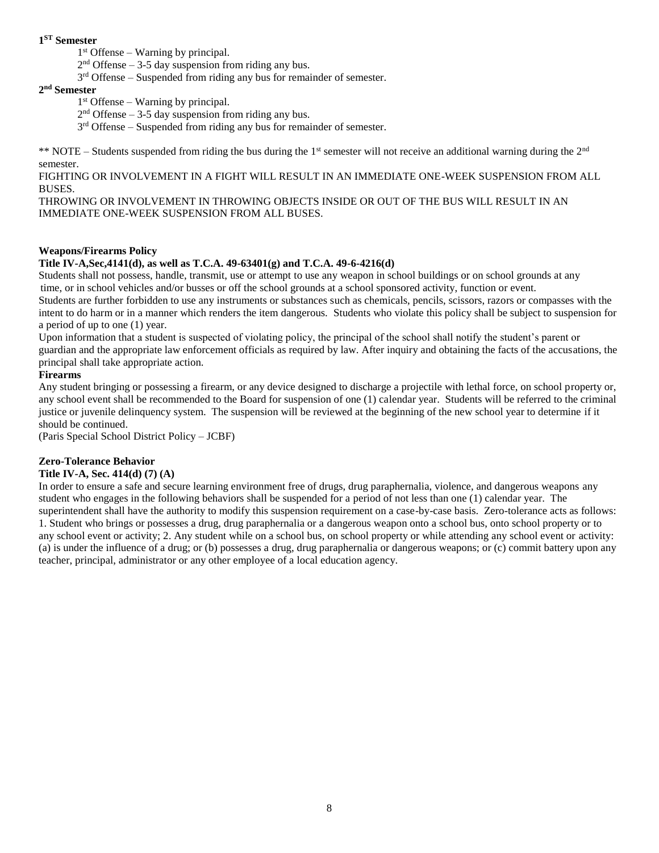# **1 ST Semester**

1 st Offense – Warning by principal.

 $2<sup>nd</sup>$  Offense – 3-5 day suspension from riding any bus.

 $3<sup>rd</sup>$  Offense – Suspended from riding any bus for remainder of semester.

### **2 nd Semester**

1 st Offense – Warning by principal.

 $2<sup>nd</sup>$  Offense – 3-5 day suspension from riding any bus.

 $3<sup>rd</sup>$  Offense – Suspended from riding any bus for remainder of semester.

\*\* NOTE – Students suspended from riding the bus during the  $1<sup>st</sup>$  semester will not receive an additional warning during the  $2<sup>nd</sup>$ semester.

FIGHTING OR INVOLVEMENT IN A FIGHT WILL RESULT IN AN IMMEDIATE ONE-WEEK SUSPENSION FROM ALL BUSES.

THROWING OR INVOLVEMENT IN THROWING OBJECTS INSIDE OR OUT OF THE BUS WILL RESULT IN AN IMMEDIATE ONE-WEEK SUSPENSION FROM ALL BUSES.

# **Weapons/Firearms Policy**

# **Title IV-A,Sec,4141(d), as well as T.C.A. 49-63401(g) and T.C.A. 49-6-4216(d)**

Students shall not possess, handle, transmit, use or attempt to use any weapon in school buildings or on school grounds at any time, or in school vehicles and/or busses or off the school grounds at a school sponsored activity, function or event.

Students are further forbidden to use any instruments or substances such as chemicals, pencils, scissors, razors or compasses with the intent to do harm or in a manner which renders the item dangerous. Students who violate this policy shall be subject to suspension for a period of up to one (1) year.

Upon information that a student is suspected of violating policy, the principal of the school shall notify the student's parent or guardian and the appropriate law enforcement officials as required by law. After inquiry and obtaining the facts of the accusations, the principal shall take appropriate action.

# **Firearms**

Any student bringing or possessing a firearm, or any device designed to discharge a projectile with lethal force, on school property or, any school event shall be recommended to the Board for suspension of one (1) calendar year. Students will be referred to the criminal justice or juvenile delinquency system. The suspension will be reviewed at the beginning of the new school year to determine if it should be continued.

(Paris Special School District Policy – JCBF)

# **Zero-Tolerance Behavior**

# **Title IV-A, Sec. 414(d) (7) (A)**

In order to ensure a safe and secure learning environment free of drugs, drug paraphernalia, violence, and dangerous weapons any student who engages in the following behaviors shall be suspended for a period of not less than one (1) calendar year. The superintendent shall have the authority to modify this suspension requirement on a case-by-case basis. Zero-tolerance acts as follows: 1. Student who brings or possesses a drug, drug paraphernalia or a dangerous weapon onto a school bus, onto school property or to any school event or activity; 2. Any student while on a school bus, on school property or while attending any school event or activity: (a) is under the influence of a drug; or (b) possesses a drug, drug paraphernalia or dangerous weapons; or (c) commit battery upon any teacher, principal, administrator or any other employee of a local education agency.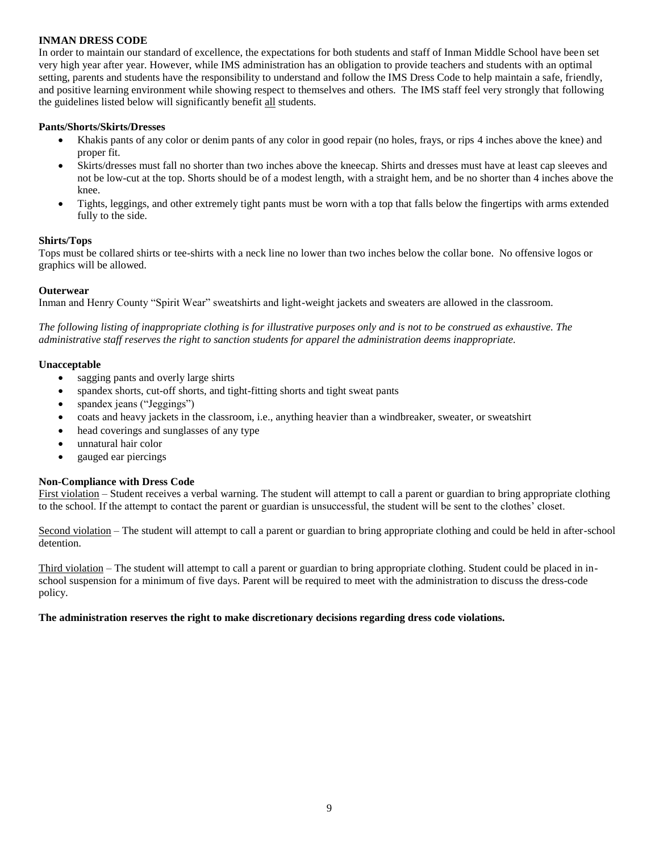# **INMAN DRESS CODE**

In order to maintain our standard of excellence, the expectations for both students and staff of Inman Middle School have been set very high year after year. However, while IMS administration has an obligation to provide teachers and students with an optimal setting, parents and students have the responsibility to understand and follow the IMS Dress Code to help maintain a safe, friendly, and positive learning environment while showing respect to themselves and others. The IMS staff feel very strongly that following the guidelines listed below will significantly benefit all students.

#### **Pants/Shorts/Skirts/Dresses**

- Khakis pants of any color or denim pants of any color in good repair (no holes, frays, or rips 4 inches above the knee) and proper fit.
- Skirts/dresses must fall no shorter than two inches above the kneecap. Shirts and dresses must have at least cap sleeves and not be low-cut at the top. Shorts should be of a modest length, with a straight hem, and be no shorter than 4 inches above the knee.
- Tights, leggings, and other extremely tight pants must be worn with a top that falls below the fingertips with arms extended fully to the side.

### **Shirts/Tops**

Tops must be collared shirts or tee-shirts with a neck line no lower than two inches below the collar bone. No offensive logos or graphics will be allowed.

### **Outerwear**

Inman and Henry County "Spirit Wear" sweatshirts and light-weight jackets and sweaters are allowed in the classroom.

*The following listing of inappropriate clothing is for illustrative purposes only and is not to be construed as exhaustive. The administrative staff reserves the right to sanction students for apparel the administration deems inappropriate.*

### **Unacceptable**

- sagging pants and overly large shirts
- spandex shorts, cut-off shorts, and tight-fitting shorts and tight sweat pants
- spandex jeans ("Jeggings")
- coats and heavy jackets in the classroom, i.e., anything heavier than a windbreaker, sweater, or sweatshirt
- head coverings and sunglasses of any type
- unnatural hair color
- gauged ear piercings

#### **Non-Compliance with Dress Code**

First violation – Student receives a verbal warning. The student will attempt to call a parent or guardian to bring appropriate clothing to the school. If the attempt to contact the parent or guardian is unsuccessful, the student will be sent to the clothes' closet.

Second violation – The student will attempt to call a parent or guardian to bring appropriate clothing and could be held in after-school detention.

Third violation – The student will attempt to call a parent or guardian to bring appropriate clothing. Student could be placed in inschool suspension for a minimum of five days. Parent will be required to meet with the administration to discuss the dress-code policy.

#### **The administration reserves the right to make discretionary decisions regarding dress code violations.**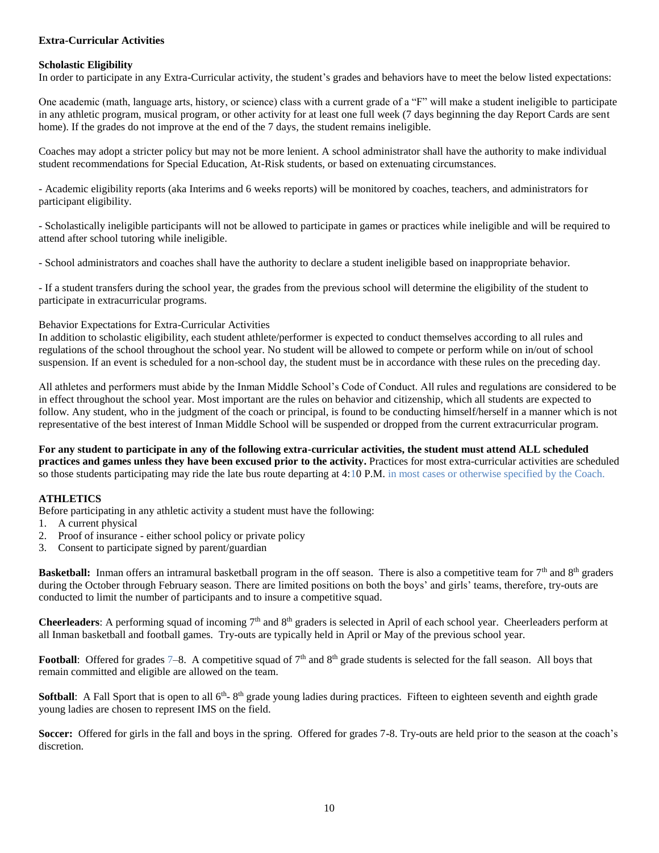# **Extra-Curricular Activities**

#### **Scholastic Eligibility**

In order to participate in any Extra-Curricular activity, the student's grades and behaviors have to meet the below listed expectations:

One academic (math, language arts, history, or science) class with a current grade of a "F" will make a student ineligible to participate in any athletic program, musical program, or other activity for at least one full week (7 days beginning the day Report Cards are sent home). If the grades do not improve at the end of the 7 days, the student remains ineligible.

Coaches may adopt a stricter policy but may not be more lenient. A school administrator shall have the authority to make individual student recommendations for Special Education, At-Risk students, or based on extenuating circumstances.

- Academic eligibility reports (aka Interims and 6 weeks reports) will be monitored by coaches, teachers, and administrators for participant eligibility.

- Scholastically ineligible participants will not be allowed to participate in games or practices while ineligible and will be required to attend after school tutoring while ineligible.

- School administrators and coaches shall have the authority to declare a student ineligible based on inappropriate behavior.

- If a student transfers during the school year, the grades from the previous school will determine the eligibility of the student to participate in extracurricular programs.

#### Behavior Expectations for Extra-Curricular Activities

In addition to scholastic eligibility, each student athlete/performer is expected to conduct themselves according to all rules and regulations of the school throughout the school year. No student will be allowed to compete or perform while on in/out of school suspension. If an event is scheduled for a non-school day, the student must be in accordance with these rules on the preceding day.

All athletes and performers must abide by the Inman Middle School's Code of Conduct. All rules and regulations are considered to be in effect throughout the school year. Most important are the rules on behavior and citizenship, which all students are expected to follow. Any student, who in the judgment of the coach or principal, is found to be conducting himself/herself in a manner which is not representative of the best interest of Inman Middle School will be suspended or dropped from the current extracurricular program.

**For any student to participate in any of the following extra-curricular activities, the student must attend ALL scheduled practices and games unless they have been excused prior to the activity.** Practices for most extra-curricular activities are scheduled so those students participating may ride the late bus route departing at 4:10 P.M. in most cases or otherwise specified by the Coach.

#### **ATHLETICS**

Before participating in any athletic activity a student must have the following:

- 1. A current physical
- 2. Proof of insurance either school policy or private policy
- 3. Consent to participate signed by parent/guardian

**Basketball:** Inman offers an intramural basketball program in the off season. There is also a competitive team for 7<sup>th</sup> and 8<sup>th</sup> graders during the October through February season. There are limited positions on both the boys' and girls' teams, therefore, try-outs are conducted to limit the number of participants and to insure a competitive squad.

**Cheerleaders**: A performing squad of incoming 7<sup>th</sup> and 8<sup>th</sup> graders is selected in April of each school year. Cheerleaders perform at all Inman basketball and football games. Try-outs are typically held in April or May of the previous school year.

**Football:** Offered for grades 7–8. A competitive squad of 7<sup>th</sup> and 8<sup>th</sup> grade students is selected for the fall season. All boys that remain committed and eligible are allowed on the team.

**Softball**: A Fall Sport that is open to all  $6<sup>th</sup>$ -  $8<sup>th</sup>$  grade young ladies during practices. Fifteen to eighteen seventh and eighth grade young ladies are chosen to represent IMS on the field.

**Soccer:** Offered for girls in the fall and boys in the spring. Offered for grades 7-8. Try-outs are held prior to the season at the coach's discretion.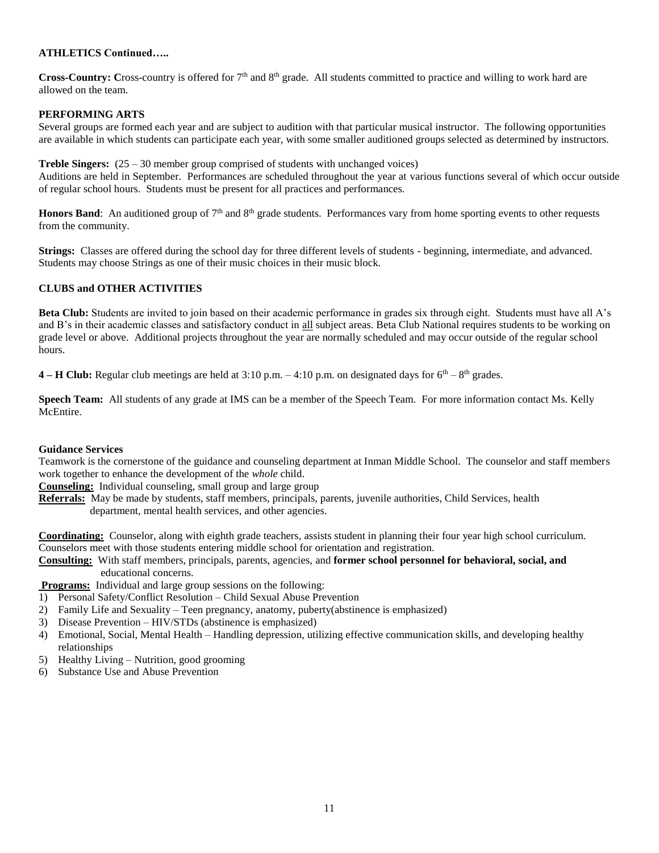# **ATHLETICS Continued…..**

**Cross-Country:** Cross-country is offered for 7<sup>th</sup> and 8<sup>th</sup> grade. All students committed to practice and willing to work hard are allowed on the team.

# **PERFORMING ARTS**

Several groups are formed each year and are subject to audition with that particular musical instructor. The following opportunities are available in which students can participate each year, with some smaller auditioned groups selected as determined by instructors.

**Treble Singers:**  $(25 - 30$  member group comprised of students with unchanged voices)

Auditions are held in September. Performances are scheduled throughout the year at various functions several of which occur outside of regular school hours. Students must be present for all practices and performances.

**Honors Band**: An auditioned group of 7<sup>th</sup> and 8<sup>th</sup> grade students. Performances vary from home sporting events to other requests from the community.

**Strings:** Classes are offered during the school day for three different levels of students - beginning, intermediate, and advanced. Students may choose Strings as one of their music choices in their music block.

### **CLUBS and OTHER ACTIVITIES**

**Beta Club:** Students are invited to join based on their academic performance in grades six through eight. Students must have all A's and B's in their academic classes and satisfactory conduct in all subject areas. Beta Club National requires students to be working on grade level or above. Additional projects throughout the year are normally scheduled and may occur outside of the regular school hours.

**4 – <b>H** Club: Regular club meetings are held at  $3:10$  p.m.  $-4:10$  p.m. on designated days for  $6<sup>th</sup> - 8<sup>th</sup>$  grades.

**Speech Team:** All students of any grade at IMS can be a member of the Speech Team. For more information contact Ms. Kelly McEntire.

#### **Guidance Services**

Teamwork is the cornerstone of the guidance and counseling department at Inman Middle School. The counselor and staff members work together to enhance the development of the *whole* child.

**Counseling:** Individual counseling, small group and large group

**Referrals:** May be made by students, staff members, principals, parents, juvenile authorities, Child Services, health department, mental health services, and other agencies.

**Coordinating:** Counselor, along with eighth grade teachers, assists student in planning their four year high school curriculum. Counselors meet with those students entering middle school for orientation and registration.

**Consulting:** With staff members, principals, parents, agencies, and **former school personnel for behavioral, social, and**  educational concerns.

**Programs:** Individual and large group sessions on the following:

- 1) Personal Safety/Conflict Resolution Child Sexual Abuse Prevention
- 2) Family Life and Sexuality Teen pregnancy, anatomy, puberty(abstinence is emphasized)
- 3) Disease Prevention HIV/STDs (abstinence is emphasized)
- 4) Emotional, Social, Mental Health Handling depression, utilizing effective communication skills, and developing healthy relationships
- 5) Healthy Living Nutrition, good grooming
- 6) Substance Use and Abuse Prevention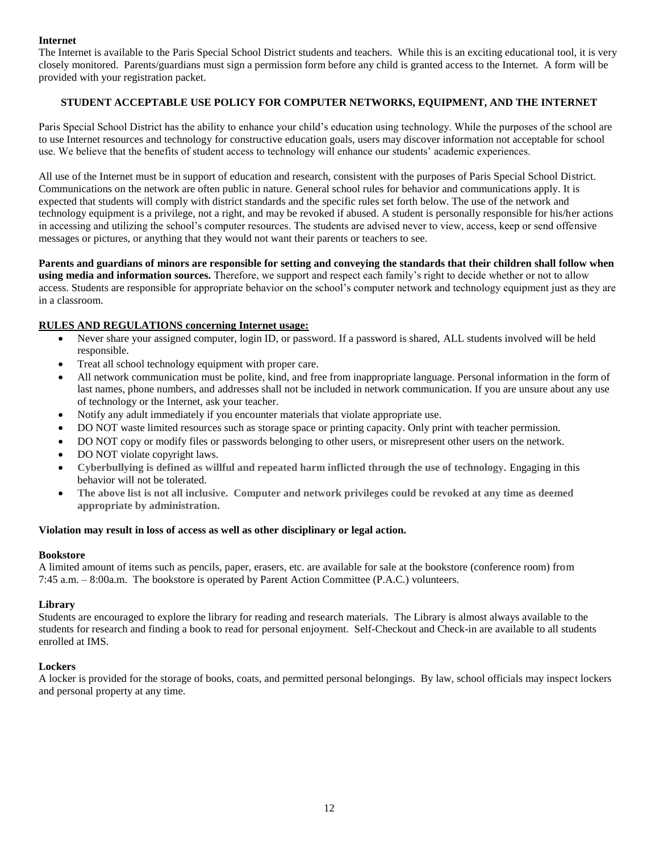# **Internet**

The Internet is available to the Paris Special School District students and teachers. While this is an exciting educational tool, it is very closely monitored. Parents/guardians must sign a permission form before any child is granted access to the Internet. A form will be provided with your registration packet.

# **STUDENT ACCEPTABLE USE POLICY FOR COMPUTER NETWORKS, EQUIPMENT, AND THE INTERNET**

Paris Special School District has the ability to enhance your child's education using technology. While the purposes of the school are to use Internet resources and technology for constructive education goals, users may discover information not acceptable for school use. We believe that the benefits of student access to technology will enhance our students' academic experiences.

All use of the Internet must be in support of education and research, consistent with the purposes of Paris Special School District. Communications on the network are often public in nature. General school rules for behavior and communications apply. It is expected that students will comply with district standards and the specific rules set forth below. The use of the network and technology equipment is a privilege, not a right, and may be revoked if abused. A student is personally responsible for his/her actions in accessing and utilizing the school's computer resources. The students are advised never to view, access, keep or send offensive messages or pictures, or anything that they would not want their parents or teachers to see.

**Parents and guardians of minors are responsible for setting and conveying the standards that their children shall follow when using media and information sources.** Therefore, we support and respect each family's right to decide whether or not to allow access. Students are responsible for appropriate behavior on the school's computer network and technology equipment just as they are in a classroom.

# **RULES AND REGULATIONS concerning Internet usage:**

- Never share your assigned computer, login ID, or password. If a password is shared, ALL students involved will be held responsible.
- Treat all school technology equipment with proper care.
- All network communication must be polite, kind, and free from inappropriate language. Personal information in the form of last names, phone numbers, and addresses shall not be included in network communication. If you are unsure about any use of technology or the Internet, ask your teacher.
- Notify any adult immediately if you encounter materials that violate appropriate use.
- DO NOT waste limited resources such as storage space or printing capacity. Only print with teacher permission.
- DO NOT copy or modify files or passwords belonging to other users, or misrepresent other users on the network.
- DO NOT violate copyright laws.
- **Cyberbullying is defined as willful and repeated harm inflicted through the use of technology.** Engaging in this behavior will not be tolerated.
- **The above list is not all inclusive. Computer and network privileges could be revoked at any time as deemed appropriate by administration.**

#### **Violation may result in loss of access as well as other disciplinary or legal action.**

#### **Bookstore**

A limited amount of items such as pencils, paper, erasers, etc. are available for sale at the bookstore (conference room) from 7:45 a.m. – 8:00a.m. The bookstore is operated by Parent Action Committee (P.A.C.) volunteers.

#### **Library**

Students are encouraged to explore the library for reading and research materials. The Library is almost always available to the students for research and finding a book to read for personal enjoyment. Self-Checkout and Check-in are available to all students enrolled at IMS.

#### **Lockers**

A locker is provided for the storage of books, coats, and permitted personal belongings. By law, school officials may inspect lockers and personal property at any time.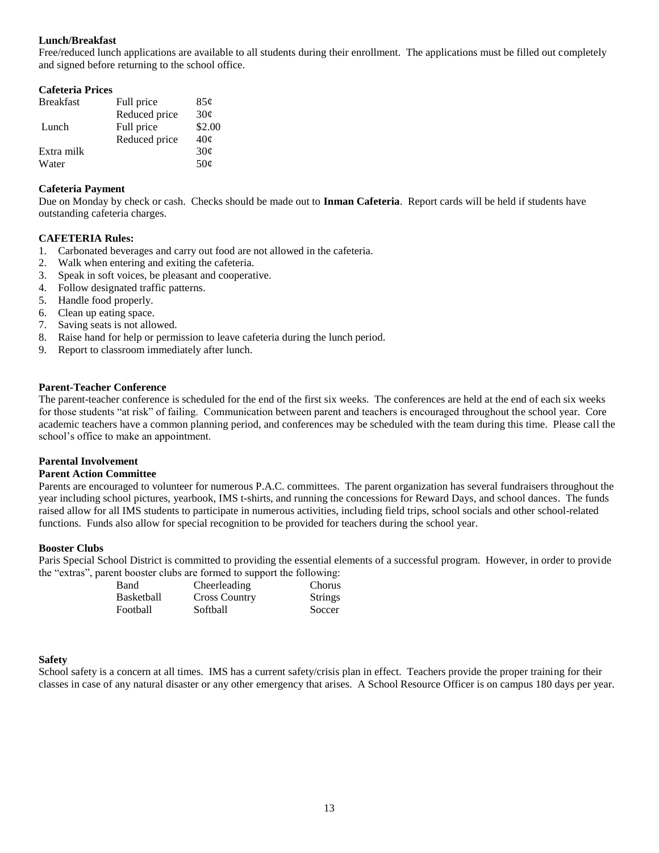# **Lunch/Breakfast**

Free/reduced lunch applications are available to all students during their enrollment. The applications must be filled out completely and signed before returning to the school office.

| <b>Cafeteria Prices</b> |               |                 |
|-------------------------|---------------|-----------------|
| <b>Breakfast</b>        | Full price    | 85¢             |
|                         | Reduced price | 30¢             |
| Lunch                   | Full price    | \$2.00          |
|                         | Reduced price | 40 <sub>c</sub> |
| Extra milk              |               | 30¢             |
| Water                   |               | 50 <sub>c</sub> |

### **Cafeteria Payment**

Due on Monday by check or cash. Checks should be made out to **Inman Cafeteria**. Report cards will be held if students have outstanding cafeteria charges.

### **CAFETERIA Rules:**

- 1. Carbonated beverages and carry out food are not allowed in the cafeteria.
- 2. Walk when entering and exiting the cafeteria.
- 3. Speak in soft voices, be pleasant and cooperative.
- 4. Follow designated traffic patterns.
- 5. Handle food properly.
- 6. Clean up eating space.
- 7. Saving seats is not allowed.
- 8. Raise hand for help or permission to leave cafeteria during the lunch period.
- 9. Report to classroom immediately after lunch.

#### **Parent-Teacher Conference**

The parent-teacher conference is scheduled for the end of the first six weeks. The conferences are held at the end of each six weeks for those students "at risk" of failing. Communication between parent and teachers is encouraged throughout the school year. Core academic teachers have a common planning period, and conferences may be scheduled with the team during this time. Please call the school's office to make an appointment.

#### **Parental Involvement**

#### **Parent Action Committee**

Parents are encouraged to volunteer for numerous P.A.C. committees. The parent organization has several fundraisers throughout the year including school pictures, yearbook, IMS t-shirts, and running the concessions for Reward Days, and school dances. The funds raised allow for all IMS students to participate in numerous activities, including field trips, school socials and other school-related functions. Funds also allow for special recognition to be provided for teachers during the school year.

#### **Booster Clubs**

Paris Special School District is committed to providing the essential elements of a successful program. However, in order to provide the "extras", parent booster clubs are formed to support the following:

| <b>Band</b> | Cheerleading         | Chorus         |
|-------------|----------------------|----------------|
| Basketball  | <b>Cross Country</b> | <b>Strings</b> |
| Football    | Softball             | Soccer         |

#### **Safety**

School safety is a concern at all times. IMS has a current safety/crisis plan in effect. Teachers provide the proper training for their classes in case of any natural disaster or any other emergency that arises. A School Resource Officer is on campus 180 days per year.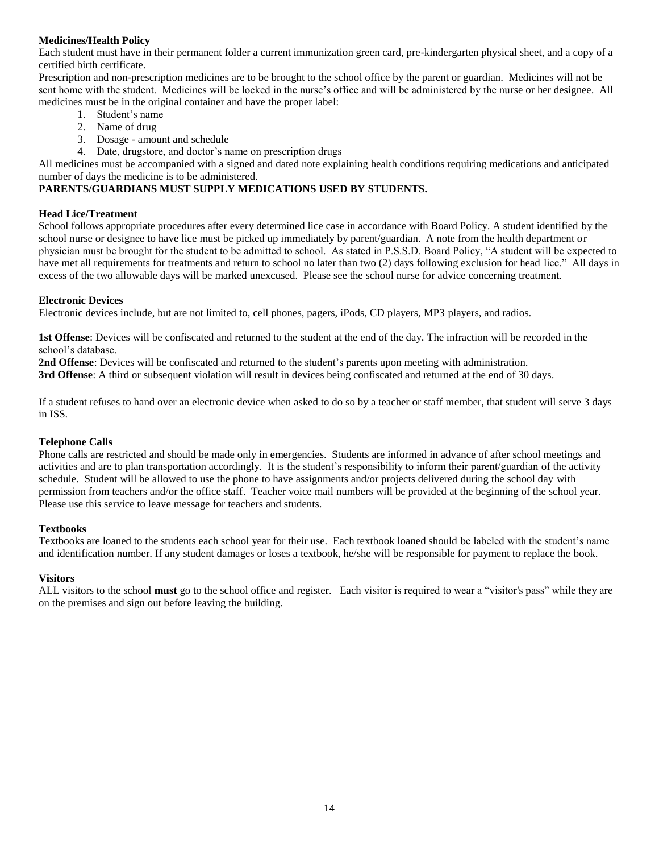# **Medicines/Health Policy**

Each student must have in their permanent folder a current immunization green card, pre-kindergarten physical sheet, and a copy of a certified birth certificate.

Prescription and non-prescription medicines are to be brought to the school office by the parent or guardian. Medicines will not be sent home with the student. Medicines will be locked in the nurse's office and will be administered by the nurse or her designee. All medicines must be in the original container and have the proper label:

- 1. Student's name
- 2. Name of drug
- 3. Dosage amount and schedule
- 4. Date, drugstore, and doctor's name on prescription drugs

All medicines must be accompanied with a signed and dated note explaining health conditions requiring medications and anticipated number of days the medicine is to be administered.

# **PARENTS/GUARDIANS MUST SUPPLY MEDICATIONS USED BY STUDENTS.**

# **Head Lice/Treatment**

School follows appropriate procedures after every determined lice case in accordance with Board Policy. A student identified by the school nurse or designee to have lice must be picked up immediately by parent/guardian. A note from the health department or physician must be brought for the student to be admitted to school. As stated in P.S.S.D. Board Policy, "A student will be expected to have met all requirements for treatments and return to school no later than two (2) days following exclusion for head lice." All days in excess of the two allowable days will be marked unexcused. Please see the school nurse for advice concerning treatment.

# **Electronic Devices**

Electronic devices include, but are not limited to, cell phones, pagers, iPods, CD players, MP3 players, and radios.

**1st Offense**: Devices will be confiscated and returned to the student at the end of the day. The infraction will be recorded in the school's database.

**2nd Offense**: Devices will be confiscated and returned to the student's parents upon meeting with administration. **3rd Offense**: A third or subsequent violation will result in devices being confiscated and returned at the end of 30 days.

If a student refuses to hand over an electronic device when asked to do so by a teacher or staff member, that student will serve 3 days in ISS.

# **Telephone Calls**

Phone calls are restricted and should be made only in emergencies. Students are informed in advance of after school meetings and activities and are to plan transportation accordingly. It is the student's responsibility to inform their parent/guardian of the activity schedule. Student will be allowed to use the phone to have assignments and/or projects delivered during the school day with permission from teachers and/or the office staff. Teacher voice mail numbers will be provided at the beginning of the school year. Please use this service to leave message for teachers and students.

# **Textbooks**

Textbooks are loaned to the students each school year for their use. Each textbook loaned should be labeled with the student's name and identification number. If any student damages or loses a textbook, he/she will be responsible for payment to replace the book.

# **Visitors**

ALL visitors to the school **must** go to the school office and register. Each visitor is required to wear a "visitor's pass" while they are on the premises and sign out before leaving the building.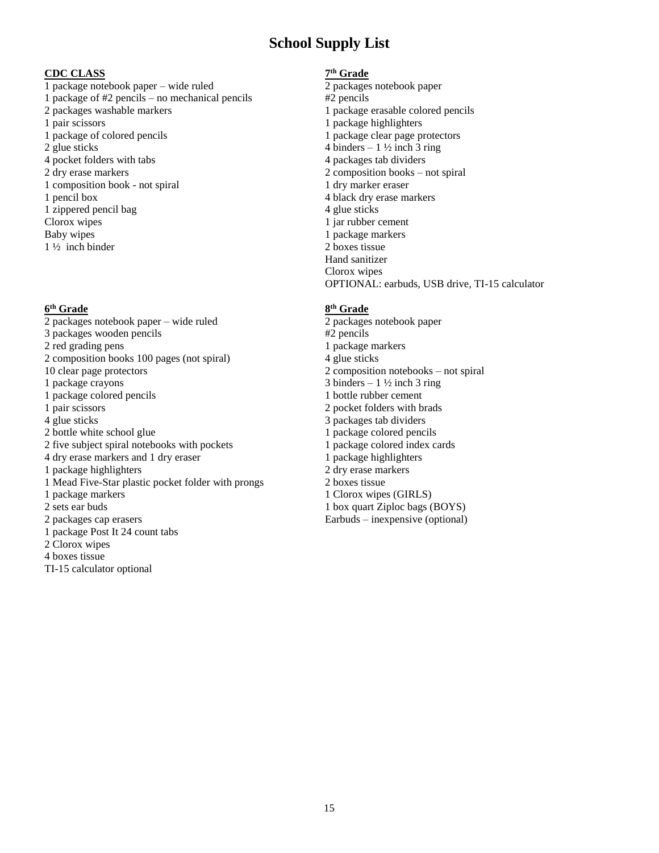# **School Supply List**

 $\frac{\text{CDC CLASS}}{1 \text{ package notebook paper} - \text{wide ruled}}$   $\frac{\text{7}^{\text{th}} \text{Grade}}{2 \text{ packages notebook paper}}$ 1 package notebook paper – wide ruled 1 package of #2 pencils – no mechanical pencils #2 pencils 2 packages washable markers 1 package erasable colored pencils 1 pair scissors 1 package highlighters 1 package of colored pencils 1 package clear page protectors 2 glue sticks  $4 \text{ binders} - 1 \frac{1}{2} \text{ inch} 3 \text{ ring}$ 4 pocket folders with tabs 4 packages tab dividers 2 dry erase markers 2 composition books – not spiral 1 composition book - not spiral 1 dry marker eraser 1 pencil box 4 black dry erase markers 1 zippered pencil bag Clorox wipes Baby wipes 1 ½ inch binder

# **6 th Grade 8**

2 packages notebook paper – wide ruled 2 packages notebook paper 3 packages wooden pencils #2 pencils 2 red grading pens 1 package markers 2 composition books 100 pages (not spiral) 4 glue sticks 10 clear page protectors 2 composition notebooks – not spiral 1 package crayons 3 binders – 1  $\frac{1}{2}$  inch 3 ring 1 package colored pencils 1 bottle rubber cement 1 pair scissors 2 pocket folders with brads 4 glue sticks 3 packages tab dividers 2 bottle white school glue 2 bottle white school glue 1 package colored pencils 2 five subject spiral notebooks with pockets 1 package colored index cards 4 dry erase markers and 1 dry eraser 1 package highlighters 1 package highlighters 2 dry erase markers 1 Mead Five-Star plastic pocket folder with prongs 2 boxes tissue 1 package markers 1 Clorox wipes (GIRLS) 2 sets ear buds 1 box quart Ziploc bags (BOYS) 2 packages cap erasers 1 package Post It 24 count tabs 2 Clorox wipes 4 boxes tissue TI-15 calculator optional

# **th Grade**

4 glue sticks 1 jar rubber cement 1 package markers 2 boxes tissue Hand sanitizer Clorox wipes OPTIONAL: earbuds, USB drive, TI-15 calculator

# **th Grade**

Earbuds – inexpensive (optional)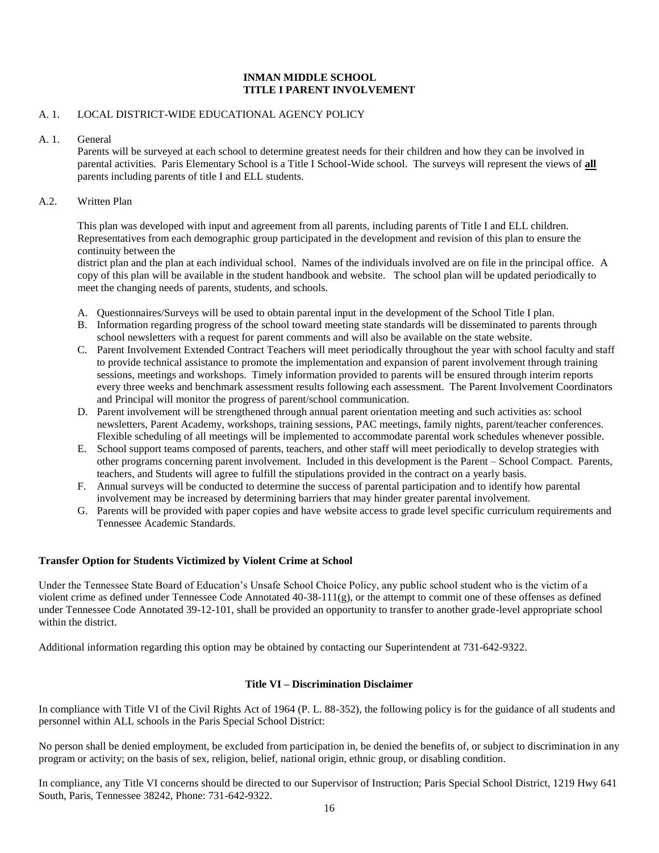# **INMAN MIDDLE SCHOOL TITLE I PARENT INVOLVEMENT**

# A. 1. LOCAL DISTRICT-WIDE EDUCATIONAL AGENCY POLICY

A. 1. General

Parents will be surveyed at each school to determine greatest needs for their children and how they can be involved in parental activities. Paris Elementary School is a Title I School-Wide school. The surveys will represent the views of **all** parents including parents of title I and ELL students.

# A.2. Written Plan

This plan was developed with input and agreement from all parents, including parents of Title I and ELL children. Representatives from each demographic group participated in the development and revision of this plan to ensure the continuity between the

district plan and the plan at each individual school. Names of the individuals involved are on file in the principal office. A copy of this plan will be available in the student handbook and website. The school plan will be updated periodically to meet the changing needs of parents, students, and schools.

- A. Questionnaires/Surveys will be used to obtain parental input in the development of the School Title I plan.
- B. Information regarding progress of the school toward meeting state standards will be disseminated to parents through school newsletters with a request for parent comments and will also be available on the state website.
- C. Parent Involvement Extended Contract Teachers will meet periodically throughout the year with school faculty and staff to provide technical assistance to promote the implementation and expansion of parent involvement through training sessions, meetings and workshops. Timely information provided to parents will be ensured through interim reports every three weeks and benchmark assessment results following each assessment. The Parent Involvement Coordinators and Principal will monitor the progress of parent/school communication.
- D. Parent involvement will be strengthened through annual parent orientation meeting and such activities as: school newsletters, Parent Academy, workshops, training sessions, PAC meetings, family nights, parent/teacher conferences. Flexible scheduling of all meetings will be implemented to accommodate parental work schedules whenever possible.
- E. School support teams composed of parents, teachers, and other staff will meet periodically to develop strategies with other programs concerning parent involvement. Included in this development is the Parent – School Compact. Parents, teachers, and Students will agree to fulfill the stipulations provided in the contract on a yearly basis.
- F. Annual surveys will be conducted to determine the success of parental participation and to identify how parental involvement may be increased by determining barriers that may hinder greater parental involvement.
- G. Parents will be provided with paper copies and have website access to grade level specific curriculum requirements and Tennessee Academic Standards.

# **Transfer Option for Students Victimized by Violent Crime at School**

Under the Tennessee State Board of Education's Unsafe School Choice Policy, any public school student who is the victim of a violent crime as defined under Tennessee Code Annotated  $40-38-111(g)$ , or the attempt to commit one of these offenses as defined under Tennessee Code Annotated 39-12-101, shall be provided an opportunity to transfer to another grade-level appropriate school within the district.

Additional information regarding this option may be obtained by contacting our Superintendent at 731-642-9322.

# **Title VI – Discrimination Disclaimer**

In compliance with Title VI of the Civil Rights Act of 1964 (P. L. 88-352), the following policy is for the guidance of all students and personnel within ALL schools in the Paris Special School District:

No person shall be denied employment, be excluded from participation in, be denied the benefits of, or subject to discrimination in any program or activity; on the basis of sex, religion, belief, national origin, ethnic group, or disabling condition.

In compliance, any Title VI concerns should be directed to our Supervisor of Instruction; Paris Special School District, 1219 Hwy 641 South, Paris, Tennessee 38242, Phone: 731-642-9322.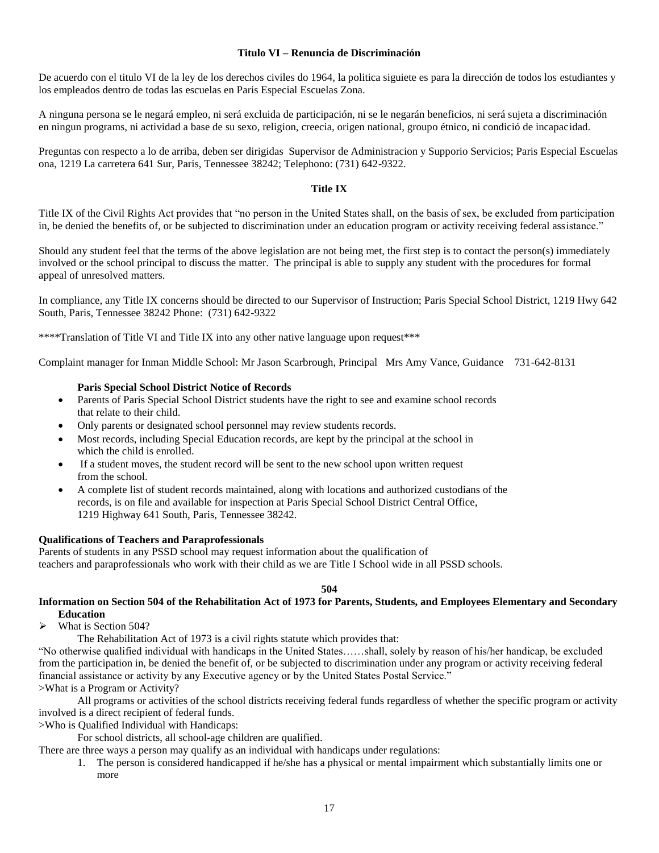# **Titulo VI – Renuncia de Discriminación**

De acuerdo con el titulo VI de la ley de los derechos civiles do 1964, la politica siguiete es para la dirección de todos los estudiantes y los empleados dentro de todas las escuelas en Paris Especial Escuelas Zona.

A ninguna persona se le negará empleo, ni será excluida de participación, ni se le negarán beneficios, ni será sujeta a discriminación en ningun programs, ni actividad a base de su sexo, religion, creecia, origen national, groupo étnico, ni condició de incapacidad.

Preguntas con respecto a lo de arriba, deben ser dirigidas Supervisor de Administracion y Supporio Servicios; Paris Especial Escuelas ona, 1219 La carretera 641 Sur, Paris, Tennessee 38242; Telephono: (731) 642-9322.

#### **Title IX**

Title IX of the Civil Rights Act provides that "no person in the United States shall, on the basis of sex, be excluded from participation in, be denied the benefits of, or be subjected to discrimination under an education program or activity receiving federal assistance."

Should any student feel that the terms of the above legislation are not being met, the first step is to contact the person(s) immediately involved or the school principal to discuss the matter. The principal is able to supply any student with the procedures for formal appeal of unresolved matters.

In compliance, any Title IX concerns should be directed to our Supervisor of Instruction; Paris Special School District, 1219 Hwy 642 South, Paris, Tennessee 38242 Phone: (731) 642-9322

\*\*\*\*Translation of Title VI and Title IX into any other native language upon request\*\*\*

Complaint manager for Inman Middle School: Mr Jason Scarbrough, Principal Mrs Amy Vance, Guidance 731-642-8131

#### **Paris Special School District Notice of Records**

- Parents of Paris Special School District students have the right to see and examine school records that relate to their child.
- Only parents or designated school personnel may review students records.
- Most records, including Special Education records, are kept by the principal at the school in which the child is enrolled.
- If a student moves, the student record will be sent to the new school upon written request from the school.
- A complete list of student records maintained, along with locations and authorized custodians of the records, is on file and available for inspection at Paris Special School District Central Office, 1219 Highway 641 South, Paris, Tennessee 38242.

#### **Qualifications of Teachers and Paraprofessionals**

Parents of students in any PSSD school may request information about the qualification of teachers and paraprofessionals who work with their child as we are Title I School wide in all PSSD schools.

#### **504**

# **Information on Section 504 of the Rehabilitation Act of 1973 for Parents, Students, and Employees Elementary and Secondary Education**

What is Section 504?

The Rehabilitation Act of 1973 is a civil rights statute which provides that:

"No otherwise qualified individual with handicaps in the United States……shall, solely by reason of his/her handicap, be excluded from the participation in, be denied the benefit of, or be subjected to discrimination under any program or activity receiving federal financial assistance or activity by any Executive agency or by the United States Postal Service." >What is a Program or Activity?

All programs or activities of the school districts receiving federal funds regardless of whether the specific program or activity involved is a direct recipient of federal funds.

>Who is Qualified Individual with Handicaps:

For school districts, all school-age children are qualified.

There are three ways a person may qualify as an individual with handicaps under regulations:

1. The person is considered handicapped if he/she has a physical or mental impairment which substantially limits one or more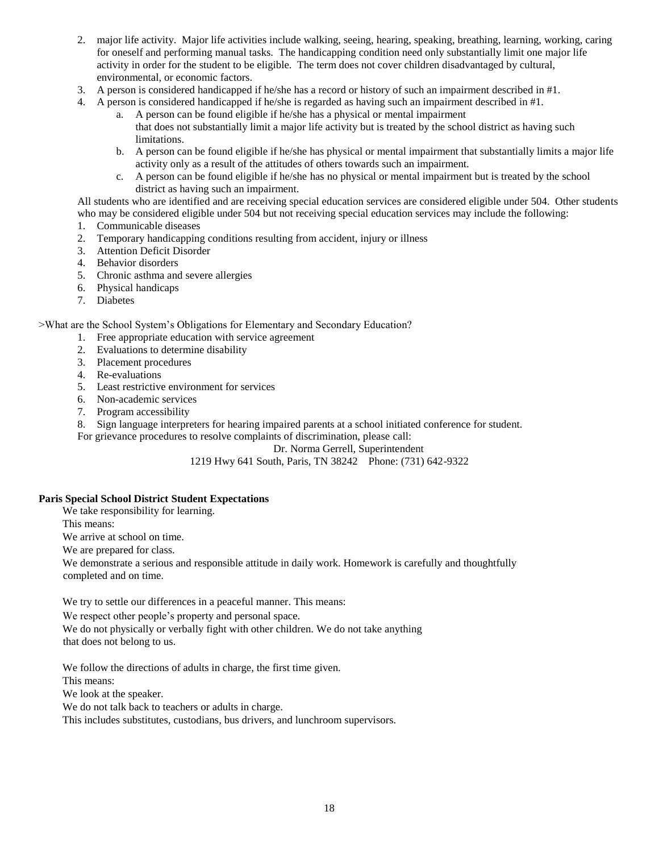- 2. major life activity. Major life activities include walking, seeing, hearing, speaking, breathing, learning, working, caring for oneself and performing manual tasks. The handicapping condition need only substantially limit one major life activity in order for the student to be eligible. The term does not cover children disadvantaged by cultural, environmental, or economic factors.
- 3. A person is considered handicapped if he/she has a record or history of such an impairment described in #1.
- 4. A person is considered handicapped if he/she is regarded as having such an impairment described in #1.
	- a. A person can be found eligible if he/she has a physical or mental impairment that does not substantially limit a major life activity but is treated by the school district as having such limitations.
	- b. A person can be found eligible if he/she has physical or mental impairment that substantially limits a major life activity only as a result of the attitudes of others towards such an impairment.
	- c. A person can be found eligible if he/she has no physical or mental impairment but is treated by the school district as having such an impairment.

All students who are identified and are receiving special education services are considered eligible under 504. Other students who may be considered eligible under 504 but not receiving special education services may include the following:

- 1. Communicable diseases
- 2. Temporary handicapping conditions resulting from accident, injury or illness
- 3. Attention Deficit Disorder
- 4. Behavior disorders
- 5. Chronic asthma and severe allergies
- 6. Physical handicaps
- 7. Diabetes

>What are the School System's Obligations for Elementary and Secondary Education?

- 1. Free appropriate education with service agreement
- 2. Evaluations to determine disability
- 3. Placement procedures
- 4. Re-evaluations
- 5. Least restrictive environment for services
- 6. Non-academic services
- 7. Program accessibility

8. Sign language interpreters for hearing impaired parents at a school initiated conference for student.

For grievance procedures to resolve complaints of discrimination, please call:

Dr. Norma Gerrell, Superintendent

# 1219 Hwy 641 South, Paris, TN 38242 Phone: (731) 642-9322

# **Paris Special School District Student Expectations**

We take responsibility for learning.

This means:

We arrive at school on time.

We are prepared for class.

We demonstrate a serious and responsible attitude in daily work. Homework is carefully and thoughtfully completed and on time.

We try to settle our differences in a peaceful manner. This means:

We respect other people's property and personal space.

We do not physically or verbally fight with other children. We do not take anything that does not belong to us.

We follow the directions of adults in charge, the first time given.

This means:

We look at the speaker.

We do not talk back to teachers or adults in charge.

This includes substitutes, custodians, bus drivers, and lunchroom supervisors.